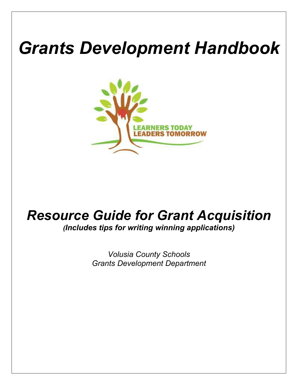# *Grants Development Handbook*



# *Resource Guide for Grant Acquisition (Includes tips for writing winning applications)*

*Volusia County Schools Grants Development Department*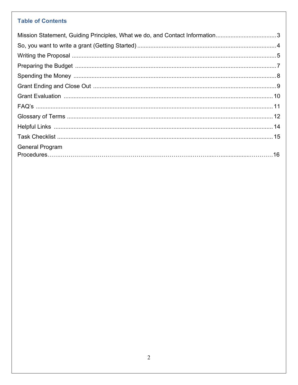# **Table of Contents**

| Mission Statement, Guiding Principles, What we do, and Contact Information3 |  |
|-----------------------------------------------------------------------------|--|
|                                                                             |  |
|                                                                             |  |
|                                                                             |  |
|                                                                             |  |
|                                                                             |  |
|                                                                             |  |
|                                                                             |  |
|                                                                             |  |
|                                                                             |  |
|                                                                             |  |
| <b>General Program</b>                                                      |  |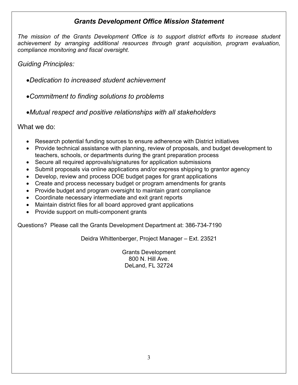# *Grants Development Office Mission Statement*

*The mission of the Grants Development Office is to support district efforts to increase student achievement by arranging additional resources through grant acquisition, program evaluation, compliance monitoring and fiscal oversight.*

*Guiding Principles:*

•*Dedication to increased student achievement*

•*Commitment to finding solutions to problems*

•*Mutual respect and positive relationships with all stakeholders*

What we do:

- Research potential funding sources to ensure adherence with District initiatives
- Provide technical assistance with planning, review of proposals, and budget development to teachers, schools, or departments during the grant preparation process
- Secure all required approvals/signatures for application submissions
- Submit proposals via online applications and/or express shipping to grantor agency
- Develop, review and process DOE budget pages for grant applications
- Create and process necessary budget or program amendments for grants
- Provide budget and program oversight to maintain grant compliance
- Coordinate necessary intermediate and exit grant reports
- Maintain district files for all board approved grant applications
- Provide support on multi-component grants

Questions? Please call the Grants Development Department at: 386-734-7190

Deidra Whittenberger, Project Manager – Ext. 23521

Grants Development 800 N. Hill Ave. DeLand, FL 32724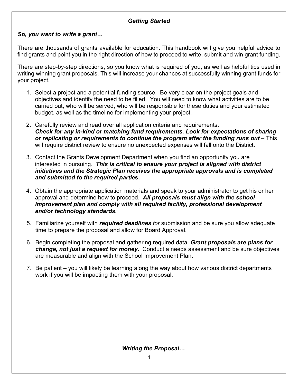# *Getting Started*

#### *So, you want to write a grant…*

There are thousands of grants available for education. This handbook will give you helpful advice to find grants and point you in the right direction of how to proceed to write, submit and win grant funding.

There are step-by-step directions, so you know what is required of you, as well as helpful tips used in writing winning grant proposals. This will increase your chances at successfully winning grant funds for your project.

- 1. Select a project and a potential funding source. Be very clear on the project goals and objectives and identify the need to be filled. You will need to know what activities are to be carried out, who will be served, who will be responsible for these duties and your estimated budget, as well as the timeline for implementing your project.
- 2. Carefully review and read over all application criteria and requirements. *Check for any in-kind or matching fund requirements. Look for expectations of sharing or replicating or requirements to continue the program after the funding runs out* – This will require district review to ensure no unexpected expenses will fall onto the District.
- 3. Contact the Grants Development Department when you find an opportunity you are interested in pursuing. *This is critical to ensure your project is aligned with district initiatives and the Strategic Plan receives the appropriate approvals and is completed and submitted to the required partie***s.**
- 4. Obtain the appropriate application materials and speak to your administrator to get his or her approval and determine how to proceed. *All proposals must align with the school improvement plan and comply with all required facility, professional development and/or technology standards.*
- 5. Familiarize yourself with *required deadlines for* submission and be sure you allow adequate time to prepare the proposal and allow for Board Approval.
- 6. Begin completing the proposal and gathering required data. *Grant proposals are plans for change, not just a request for money.* Conduct a needs assessment and be sure objectives are measurable and align with the School Improvement Plan.
- 7. Be patient you will likely be learning along the way about how various district departments work if you will be impacting them with your proposal.

*Writing the Proposal…*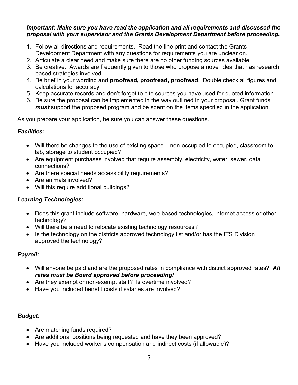#### *Important: Make sure you have read the application and all requirements and discussed the proposal with your supervisor and the Grants Development Department before proceeding.*

- 1. Follow all directions and requirements. Read the fine print and contact the Grants Development Department with any questions for requirements you are unclear on.
- 2. Articulate a clear need and make sure there are no other funding sources available.
- 3. Be creative. Awards are frequently given to those who propose a novel idea that has research based strategies involved.
- 4. Be brief in your wording and **proofread, proofread, proofread**. Double check all figures and calculations for accuracy.
- 5. Keep accurate records and don't forget to cite sources you have used for quoted information.
- 6. Be sure the proposal can be implemented in the way outlined in your proposal. Grant funds *must* support the proposed program and be spent on the items specified in the application.

As you prepare your application, be sure you can answer these questions.

# *Facilities:*

- Will there be changes to the use of existing space non-occupied to occupied, classroom to lab, storage to student occupied?
- Are equipment purchases involved that require assembly, electricity, water, sewer, data connections?
- Are there special needs accessibility requirements?
- Are animals involved?
- Will this require additional buildings?

# *Learning Technologies:*

- Does this grant include software, hardware, web-based technologies, internet access or other technology?
- Will there be a need to relocate existing technology resources?
- Is the technology on the districts approved technology list and/or has the ITS Division approved the technology?

# *Payroll:*

- Will anyone be paid and are the proposed rates in compliance with district approved rates? *All rates must be Board approved before proceeding!*
- Are they exempt or non-exempt staff? Is overtime involved?
- Have you included benefit costs if salaries are involved?

# *Budget:*

- Are matching funds required?
- Are additional positions being requested and have they been approved?
- Have you included worker's compensation and indirect costs (if allowable)?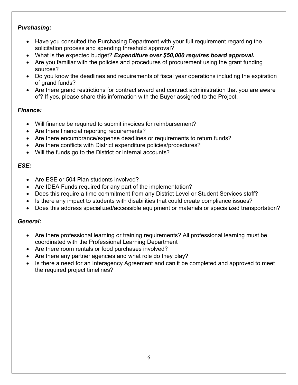#### *Purchasing:*

- Have you consulted the Purchasing Department with your full requirement regarding the solicitation process and spending threshold approval?
- What is the expected budget? *Expenditure over \$50,000 requires board approval.*
- Are you familiar with the policies and procedures of procurement using the grant funding sources?
- Do you know the deadlines and requirements of fiscal year operations including the expiration of grand funds?
- Are there grand restrictions for contract award and contract administration that you are aware of? If yes, please share this information with the Buyer assigned to the Project.

#### *Finance:*

- Will finance be required to submit invoices for reimbursement?
- Are there financial reporting requirements?
- Are there encumbrance/expense deadlines or requirements to return funds?
- Are there conflicts with District expenditure policies/procedures?
- Will the funds go to the District or internal accounts?

#### *ESE:*

- Are ESE or 504 Plan students involved?
- Are IDEA Funds required for any part of the implementation?
- Does this require a time commitment from any District Level or Student Services staff?
- Is there any impact to students with disabilities that could create compliance issues?
- Does this address specialized/accessible equipment or materials or specialized transportation?

### *General:*

- Are there professional learning or training requirements? All professional learning must be coordinated with the Professional Learning Department
- Are there room rentals or food purchases involved?
- Are there any partner agencies and what role do they play?
- Is there a need for an Interagency Agreement and can it be completed and approved to meet the required project timelines?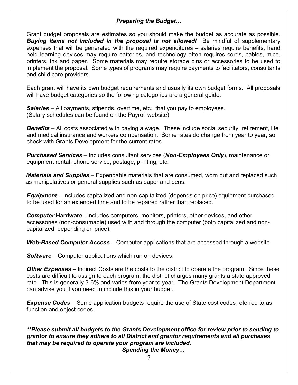#### *Preparing the Budget…*

Grant budget proposals are estimates so you should make the budget as accurate as possible. *Buying items not included in the proposal is not allowed!* Be mindful of supplementary expenses that will be generated with the required expenditures – salaries require benefits, hand held learning devices may require batteries, and technology often requires cords, cables, mice, printers, ink and paper. Some materials may require storage bins or accessories to be used to implement the proposal. Some types of programs may require payments to facilitators, consultants and child care providers.

Each grant will have its own budget requirements and usually its own budget forms. All proposals will have budget categories so the following categories are a general guide.

*Salaries* – All payments, stipends, overtime, etc., that you pay to employees. (Salary schedules can be found on the Payroll website)

*Benefits* – All costs associated with paying a wage. These include social security, retirement, life and medical insurance and workers compensation. Some rates do change from year to year, so check with Grants Development for the current rates.

*Purchased Services* – Includes consultant services (*Non-Employees Only*), maintenance or equipment rental, phone service, postage, printing, etc.

*Materials and Supplies* – Expendable materials that are consumed, worn out and replaced such as manipulatives or general supplies such as paper and pens.

*Equipment* – Includes capitalized and non-capitalized (depends on price) equipment purchased to be used for an extended time and to be repaired rather than replaced.

*Computer* **Hardware**– Includes computers, monitors, printers, other devices, and other accessories (non-consumable) used with and through the computer (both capitalized and noncapitalized, depending on price).

*Web-Based Computer Access* – Computer applications that are accessed through a website.

*Software –* Computer applications which run on devices.

*Other Expenses* – Indirect Costs are the costs to the district to operate the program. Since these costs are difficult to assign to each program, the district charges many grants a state approved rate. This is generally 3-6% and varies from year to year. The Grants Development Department can advise you if you need to include this in your budget.

*Expense Codes* – Some application budgets require the use of State cost codes referred to as function and object codes.

*\*\*Please submit all budgets to the Grants Development office for review prior to sending to grantor to ensure they adhere to all District and grantor requirements and all purchases that may be required to operate your program are included.*

*Spending the Money…*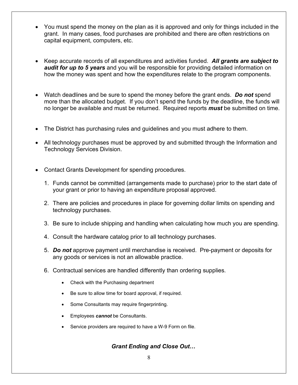- You must spend the money on the plan as it is approved and only for things included in the grant. In many cases, food purchases are prohibited and there are often restrictions on capital equipment, computers, etc.
- Keep accurate records of all expenditures and activities funded. *All grants are subject to audit for up to 5 years* and you will be responsible for providing detailed information on how the money was spent and how the expenditures relate to the program components.
- Watch deadlines and be sure to spend the money before the grant ends. *Do not* spend more than the allocated budget. If you don't spend the funds by the deadline, the funds will no longer be available and must be returned. Required reports *must* be submitted on time.
- The District has purchasing rules and guidelines and you must adhere to them.
- All technology purchases must be approved by and submitted through the Information and Technology Services Division.
- Contact Grants Development for spending procedures.
	- 1. Funds cannot be committed (arrangements made to purchase) prior to the start date of your grant or prior to having an expenditure proposal approved.
	- 2. There are policies and procedures in place for governing dollar limits on spending and technology purchases.
	- 3. Be sure to include shipping and handling when calculating how much you are spending.
	- 4. Consult the hardware catalog prior to all technology purchases.
	- 5. *Do not* approve payment until merchandise is received. Pre-payment or deposits for any goods or services is not an allowable practice.
	- 6. Contractual services are handled differently than ordering supplies.
		- Check with the Purchasing department
		- Be sure to allow time for board approval, if required.
		- Some Consultants may require fingerprinting.
		- Employees *cannot* be Consultants.
		- Service providers are required to have a W-9 Form on file.

#### *Grant Ending and Close Out…*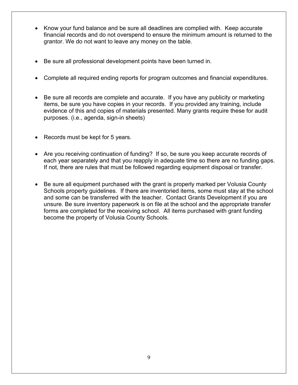- Know your fund balance and be sure all deadlines are complied with. Keep accurate financial records and do not overspend to ensure the minimum amount is returned to the grantor. We do not want to leave any money on the table.
- Be sure all professional development points have been turned in.
- Complete all required ending reports for program outcomes and financial expenditures.
- Be sure all records are complete and accurate. If you have any publicity or marketing items, be sure you have copies in your records. If you provided any training, include evidence of this and copies of materials presented. Many grants require these for audit purposes. (i.e., agenda, sign-in sheets)
- Records must be kept for 5 years.
- Are you receiving continuation of funding? If so, be sure you keep accurate records of each year separately and that you reapply in adequate time so there are no funding gaps. If not, there are rules that must be followed regarding equipment disposal or transfer.
- Be sure all equipment purchased with the grant is properly marked per Volusia County Schools property guidelines. If there are inventoried items, some must stay at the school and some can be transferred with the teacher. Contact Grants Development if you are unsure. Be sure inventory paperwork is on file at the school and the appropriate transfer forms are completed for the receiving school. All items purchased with grant funding become the property of Volusia County Schools.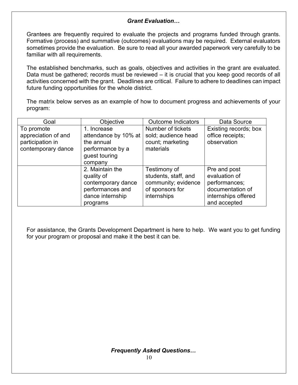#### *Grant Evaluation…*

Grantees are frequently required to evaluate the projects and programs funded through grants. Formative (process) and summative (outcomes) evaluations may be required. External evaluators sometimes provide the evaluation. Be sure to read all your awarded paperwork very carefully to be familiar with all requirements.

The established benchmarks, such as goals, objectives and activities in the grant are evaluated. Data must be gathered; records must be reviewed – it is crucial that you keep good records of all activities concerned with the grant. Deadlines are critical. Failure to adhere to deadlines can impact future funding opportunities for the whole district.

The matrix below serves as an example of how to document progress and achievements of your program:

| Goal                                                                        | Objective                                                                                               | <b>Outcome Indicators</b>                                                                     | Data Source                                                                                               |
|-----------------------------------------------------------------------------|---------------------------------------------------------------------------------------------------------|-----------------------------------------------------------------------------------------------|-----------------------------------------------------------------------------------------------------------|
| To promote<br>appreciation of and<br>participation in<br>contemporary dance | 1. Increase<br>attendance by 10% at<br>the annual<br>performance by a<br>guest touring<br>company       | Number of tickets<br>sold; audience head<br>count; marketing<br>materials                     | Existing records; box<br>office receipts;<br>observation                                                  |
|                                                                             | 2. Maintain the<br>quality of<br>contemporary dance<br>performances and<br>dance internship<br>programs | Testimony of<br>students, staff, and<br>community; evidence<br>of sponsors for<br>internships | Pre and post<br>evaluation of<br>performances;<br>documentation of<br>internships offered<br>and accepted |

For assistance, the Grants Development Department is here to help. We want you to get funding for your program or proposal and make it the best it can be.

*Frequently Asked Questions…*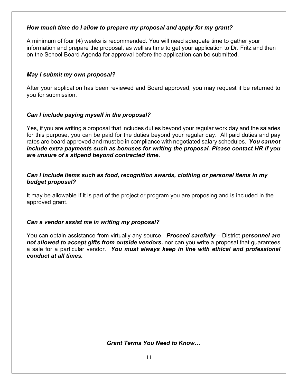#### *How much time do I allow to prepare my proposal and apply for my grant?*

A minimum of four (4) weeks is recommended. You will need adequate time to gather your information and prepare the proposal, as well as time to get your application to Dr. Fritz and then on the School Board Agenda for approval before the application can be submitted.

#### *May I submit my own proposal?*

After your application has been reviewed and Board approved, you may request it be returned to you for submission.

#### *Can I include paying myself in the proposal?*

Yes, if you are writing a proposal that includes duties beyond your regular work day and the salaries for this purpose, you can be paid for the duties beyond your regular day. All paid duties and pay rates are board approved and must be in compliance with negotiated salary schedules. *You cannot include extra payments such as bonuses for writing the proposal. Please contact HR if you are unsure of a stipend beyond contracted time.*

#### *Can I include items such as food, recognition awards, clothing or personal items in my budget proposal?*

It may be allowable if it is part of the project or program you are proposing and is included in the approved grant.

#### *Can a vendor assist me in writing my proposal?*

You can obtain assistance from virtually any source. *Proceed carefully* – District *personnel are not allowed to accept gifts from outside vendors,* nor can you write a proposal that guarantees a sale for a particular vendor. *You must always keep in line with ethical and professional conduct at all times.*

*Grant Terms You Need to Know…*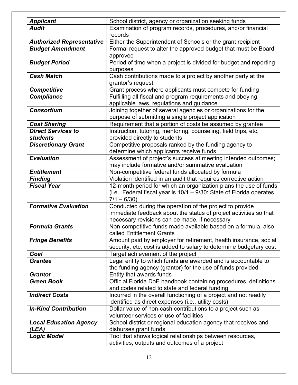| <b>Applicant</b>                 | School district, agency or organization seeking funds                |
|----------------------------------|----------------------------------------------------------------------|
| <b>Audit</b>                     | Examination of program records, procedures, and/or financial         |
|                                  | records                                                              |
| <b>Authorized Representative</b> | Either the Superintendent of Schools or the grant recipient          |
| <b>Budget Amendment</b>          | Formal request to alter the approved budget that must be Board       |
|                                  | approved                                                             |
| <b>Budget Period</b>             | Period of time when a project is divided for budget and reporting    |
|                                  | purposes                                                             |
| <b>Cash Match</b>                | Cash contributions made to a project by another party at the         |
|                                  | grantor's request                                                    |
| <b>Competitive</b>               | Grant process where applicants must compete for funding              |
|                                  |                                                                      |
| <b>Compliance</b>                | Fulfilling all fiscal and program requirements and obeying           |
|                                  | applicable laws, regulations and guidance                            |
| <b>Consortium</b>                | Joining together of several agencies or organizations for the        |
|                                  | purpose of submitting a single project application                   |
| <b>Cost Sharing</b>              | Requirement that a portion of costs be assumed by grantee            |
| <b>Direct Services to</b>        | Instruction, tutoring, mentoring, counseling, field trips, etc.      |
| <b>students</b>                  | provided directly to students                                        |
| <b>Discretionary Grant</b>       | Competitive proposals ranked by the funding agency to                |
|                                  | determine which applicants receive funds                             |
| <b>Evaluation</b>                | Assessment of project's success at meeting intended outcomes;        |
|                                  | may include formative and/or summative evaluation                    |
| <b>Entitlement</b>               | Non-competitive federal funds allocated by formula                   |
| <b>Finding</b>                   | Violation identified in an audit that requires corrective action     |
| <b>Fiscal Year</b>               | 12-month period for which an organization plans the use of funds     |
|                                  | (i.e., Federal fiscal year is 10/1 - 9/30: State of Florida operates |
|                                  | $7/1 - 6/30$                                                         |
| <b>Formative Evaluation</b>      | Conducted during the operation of the project to provide             |
|                                  | immediate feedback about the status of project activities so that    |
|                                  | necessary revisions can be made, if necessary                        |
| <b>Formula Grants</b>            | Non-competitive funds made available based on a formula, also        |
|                                  | called Entitlement Grants                                            |
|                                  |                                                                      |
| <b>Fringe Benefits</b>           | Amount paid by employer for retirement, health insurance, social     |
|                                  | security, etc; cost is added to salary to determine budgetary cost   |
| Goal                             | Target achievement of the project                                    |
| <b>Grantee</b>                   | Legal entity to which funds are awarded and is accountable to        |
|                                  | the funding agency (grantor) for the use of funds provided           |
| <b>Grantor</b>                   | Entity that awards funds                                             |
| <b>Green Book</b>                | Official Florida DoE handbook containing procedures, definitions     |
|                                  | and codes related to state and federal funding                       |
| <b>Indirect Costs</b>            | Incurred in the overall functioning of a project and not readily     |
|                                  | identified as direct expenses (i.e., utility costs)                  |
| <b>In-Kind Contribution</b>      | Dollar value of non-cash contributions to a project such as          |
|                                  | volunteer services or use of facilities                              |
| <b>Local Education Agency</b>    | School district or regional education agency that receives and       |
| (LEA)                            | disburses grant funds                                                |
| <b>Logic Model</b>               | Tool that shows logical relationships between resources,             |
|                                  | activities, outputs and outcomes of a project                        |
|                                  |                                                                      |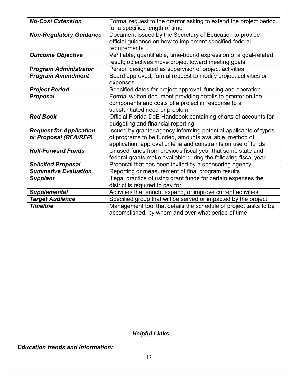| <b>No-Cost Extension</b>       | Formal request to the grantor asking to extend the project period<br>for a specified length of time |
|--------------------------------|-----------------------------------------------------------------------------------------------------|
|                                |                                                                                                     |
| <b>Non-Regulatory Guidance</b> | Document issued by the Secretary of Education to provide                                            |
|                                | official guidance on how to implement specified federal                                             |
|                                | requirements                                                                                        |
| <b>Outcome Objective</b>       | Verifiable, quantifiable, time-bound expression of a goal-related                                   |
|                                | result; objectives move project toward meeting goals                                                |
| <b>Program Administrator</b>   | Person designated as supervisor of project activities                                               |
| <b>Program Amendment</b>       | Board approved, formal request to modify project activities or                                      |
|                                | expenses                                                                                            |
| <b>Project Period</b>          | Specified dates for project approval, funding and operation                                         |
| <b>Proposal</b>                | Formal written document providing details to grantor on the                                         |
|                                | components and costs of a project in response to a                                                  |
|                                | substantiated need or problem                                                                       |
| <b>Red Book</b>                | Official Florida DoE Handbook containing charts of accounts for                                     |
|                                | budgeting and financial reporting                                                                   |
| <b>Request for Application</b> | Issued by grantor agency informing potential applicants of types                                    |
| or Proposal (RFA/RFP)          | of programs to be funded, amounts available, method of                                              |
|                                | application, approval criteria and constraints on use of funds                                      |
| <b>Roll-Forward Funds</b>      | Unused funds from previous fiscal year that some state and                                          |
|                                | federal grants make available during the following fiscal year                                      |
| <b>Solicited Proposal</b>      | Proposal that has been invited by a sponsoring agency                                               |
| <b>Summative Evaluation</b>    | Reporting or measurement of final program results                                                   |
| <b>Supplant</b>                | Illegal practice of using grant funds for certain expenses the                                      |
|                                | district is required to pay for                                                                     |
| <b>Supplemental</b>            | Activities that enrich, expand, or improve current activities                                       |
| <b>Target Audience</b>         | Specified group that will be served or impacted by the project                                      |
| <b>Timeline</b>                | Management tool that details the schedule of project tasks to be                                    |
|                                | accomplished, by whom and over what period of time                                                  |
|                                |                                                                                                     |

*Helpful Links…*

*Education trends and Information:*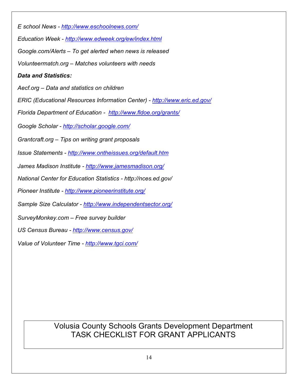*E school News - <http://www.eschoolnews.com/> Education Week - <http://www.edweek.org/ew/index.html> Google.com/Alerts – To get alerted when news is released Volunteermatch.org – Matches volunteers with needs Data and Statistics: Aecf.org – Data and statistics on children ERIC (Educational Resources Information Center) - <http://www.eric.ed.gov/> Florida Department of Education - <http://www.fldoe.org/grants/> Google Scholar - <http://scholar.google.com/> Grantcraft.org – Tips on writing grant proposals Issue Statements - <http://www.ontheissues.org/default.htm> James Madison Institute - <http://www.jamesmadison.org/> National Center for Education Statistics - http://nces.ed.gov/ Pioneer Institute - <http://www.pioneerinstitute.org/> Sample Size Calculator - <http://www.independentsector.org/> SurveyMonkey.com – Free survey builder US Census Bureau - <http://www.census.gov/> Value of Volunteer Time - <http://www.tgci.com/>*

> Volusia County Schools Grants Development Department TASK CHECKLIST FOR GRANT APPLICANTS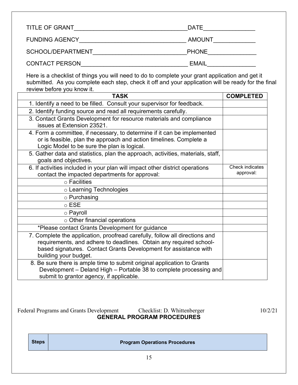| <b>TITLE OF GRANT</b> | <b>DATE</b>   |
|-----------------------|---------------|
| <b>FUNDING AGENCY</b> | <b>AMOUNT</b> |
| SCHOOL/DEPARTMENT     | <b>PHONE</b>  |
| <b>CONTACT PERSON</b> | <b>EMAIL</b>  |

Here is a checklist of things you will need to do to complete your grant application and get it submitted. As you complete each step, check it off and your application will be ready for the final review before you know it.

| <b>TASK</b>                                                                                                                                                                                                                                    | <b>COMPLETED</b>             |
|------------------------------------------------------------------------------------------------------------------------------------------------------------------------------------------------------------------------------------------------|------------------------------|
| 1. Identify a need to be filled. Consult your supervisor for feedback.                                                                                                                                                                         |                              |
| 2. Identify funding source and read all requirements carefully.                                                                                                                                                                                |                              |
| 3. Contact Grants Development for resource materials and compliance<br>issues at Extension 23521.                                                                                                                                              |                              |
| 4. Form a committee, if necessary, to determine if it can be implemented<br>or is feasible, plan the approach and action timelines. Complete a<br>Logic Model to be sure the plan is logical.                                                  |                              |
| 5. Gather data and statistics, plan the approach, activities, materials, staff,<br>goals and objectives.                                                                                                                                       |                              |
| 6. If activities included in your plan will impact other district operations<br>contact the impacted departments for approval:                                                                                                                 | Check indicates<br>approval: |
| $\circ$ Facilities                                                                                                                                                                                                                             |                              |
| ○ Learning Technologies                                                                                                                                                                                                                        |                              |
| $\circ$ Purchasing                                                                                                                                                                                                                             |                              |
| $\circ$ ESE                                                                                                                                                                                                                                    |                              |
| ○ Payroll                                                                                                                                                                                                                                      |                              |
| o Other financial operations                                                                                                                                                                                                                   |                              |
| *Please contact Grants Development for guidance                                                                                                                                                                                                |                              |
| 7. Complete the application, proofread carefully, follow all directions and<br>requirements, and adhere to deadlines. Obtain any required school-<br>based signatures. Contact Grants Development for assistance with<br>building your budget. |                              |
| 8. Be sure there is ample time to submit original application to Grants<br>Development - Deland High - Portable 38 to complete processing and<br>submit to grantor agency, if applicable.                                                      |                              |

Federal Programs and Grants Development Checklist: D. Whittenberger 10/2/21 **GENERAL PROGRAM PROCEDURES**

**Steps Program Operations Procedures**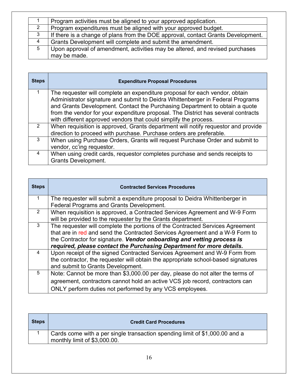|                | Program activities must be aligned to your approved application.                 |
|----------------|----------------------------------------------------------------------------------|
| $\overline{2}$ | Program expenditures must be aligned with your approved budget.                  |
| $\mathbf{3}$   | If there is a change of plans from the DOE approval, contact Grants Development. |
| 4              | Grants Development will complete and submit the amendment.                       |
| 5              | Upon approval of amendment, activities may be altered, and revised purchases     |
|                | may be made.                                                                     |

| <b>Steps</b>  | <b>Expenditure Proposal Procedures</b>                                                                                                                        |
|---------------|---------------------------------------------------------------------------------------------------------------------------------------------------------------|
|               | The requester will complete an expenditure proposal for each vendor, obtain                                                                                   |
|               | Administrator signature and submit to Deidra Whittenberger in Federal Programs<br>and Grants Development. Contact the Purchasing Department to obtain a quote |
|               | from the vendor for your expenditure proposal. The District has several contracts                                                                             |
|               | with different approved vendors that could simplify the process.                                                                                              |
| $\mathcal{P}$ | When requisition is approved, Grants department will notify requestor and provide                                                                             |
|               | direction to proceed with purchase. Purchase orders are preferable.                                                                                           |
| 3             | When using Purchase Orders, Grants will request Purchase Order and submit to                                                                                  |
|               | vendor, cc'ing requestor.                                                                                                                                     |
| 4             | When using credit cards, requestor completes purchase and sends receipts to                                                                                   |
|               | <b>Grants Development.</b>                                                                                                                                    |

| <b>Steps</b>   | <b>Contracted Services Procedures</b>                                             |
|----------------|-----------------------------------------------------------------------------------|
| 1              | The requester will submit a expenditure proposal to Deidra Whittenberger in       |
|                | Federal Programs and Grants Development.                                          |
| $\overline{2}$ | When requisition is approved, a Contracted Services Agreement and W-9 Form        |
|                | will be provided to the requester by the Grants department.                       |
| 3              | The requester will complete the portions of the Contracted Services Agreement     |
|                | that are in red and send the Contracted Services Agreement and a W-9 Form to      |
|                | the Contractor for signature. Vendor onboarding and vetting process is            |
|                | required, please contact the Purchasing Department for more details.              |
| $\overline{4}$ | Upon receipt of the signed Contracted Services Agreement and W-9 Form from        |
|                | the contractor, the requester will obtain the appropriate school-based signatures |
|                | and submit to Grants Development.                                                 |
| 5              | Note: Cannot be more than \$3,000.00 per day, please do not alter the terms of    |
|                | agreement, contractors cannot hold an active VCS job record, contractors can      |
|                | ONLY perform duties not performed by any VCS employees.                           |

| <b>Steps</b> | <b>Credit Card Procedures</b>                                                                               |
|--------------|-------------------------------------------------------------------------------------------------------------|
|              | Cards come with a per single transaction spending limit of \$1,000.00 and a<br>monthly limit of \$3,000.00. |